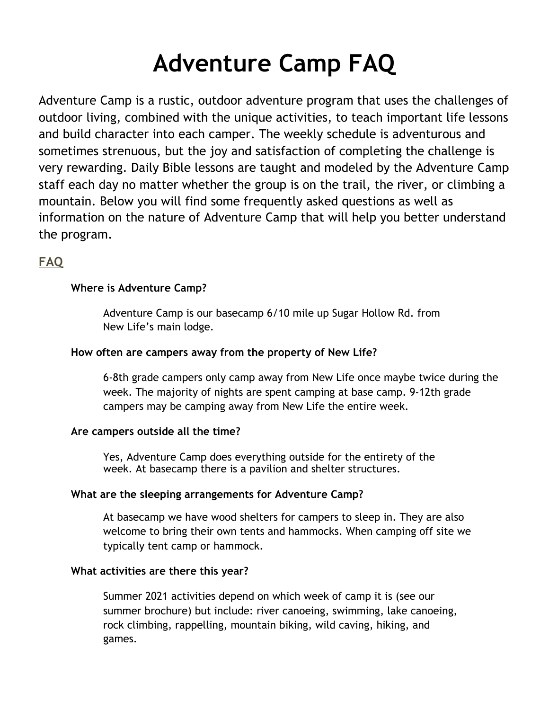# **Adventure Camp FAQ**

Adventure Camp is a rustic, outdoor adventure program that uses the challenges of outdoor living, combined with the unique activities, to teach important life lessons and build character into each camper. The weekly schedule is adventurous and sometimes strenuous, but the joy and satisfaction of completing the challenge is very rewarding. Daily Bible lessons are taught and modeled by the Adventure Camp staff each day no matter whether the group is on the trail, the river, or climbing a mountain. Below you will find some frequently asked questions as well as information on the nature of Adventure Camp that will help you better understand the program.

# **FAQ**

# **Where is Adventure Camp?**

Adventure Camp is our basecamp 6/10 mile up Sugar Hollow Rd. from New Life's main lodge.

### **How often are campers away from the property of New Life?**

6-8th grade campers only camp away from New Life once maybe twice during the week. The majority of nights are spent camping at base camp. 9-12th grade campers may be camping away from New Life the entire week.

#### **Are campers outside all the time?**

Yes, Adventure Camp does everything outside for the entirety of the week. At basecamp there is a pavilion and shelter structures.

# **What are the sleeping arrangements for Adventure Camp?**

At basecamp we have wood shelters for campers to sleep in. They are also welcome to bring their own tents and hammocks. When camping off site we typically tent camp or hammock.

#### **What activities are there this year?**

Summer 2021 activities depend on which week of camp it is (see our summer brochure) but include: river canoeing, swimming, lake canoeing, rock climbing, rappelling, mountain biking, wild caving, hiking, and games.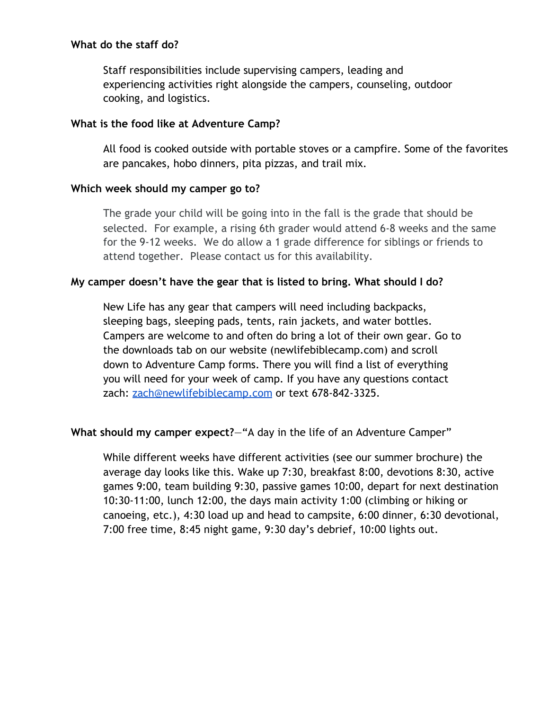#### **What do the staff do?**

Staff responsibilities include supervising campers, leading and experiencing activities right alongside the campers, counseling, outdoor cooking, and logistics.

#### **What is the food like at Adventure Camp?**

All food is cooked outside with portable stoves or a campfire. Some of the favorites are pancakes, hobo dinners, pita pizzas, and trail mix.

#### **Which week should my camper go to?**

The grade your child will be going into in the fall is the grade that should be selected. For example, a rising 6th grader would attend 6-8 weeks and the same for the 9-12 weeks. We do allow a 1 grade difference for siblings or friends to attend together. Please contact us for this availability.

#### **My camper doesn't have the gear that is listed to bring. What should I do?**

New Life has any gear that campers will need including backpacks, sleeping bags, sleeping pads, tents, rain jackets, and water bottles. Campers are welcome to and often do bring a lot of their own gear. Go to the downloads tab on our website (newlifebiblecamp.com) and scroll down to Adventure Camp forms. There you will find a list of everything you will need for your week of camp. If you have any questions contact zach: [zach@newlifebiblecamp.com](mailto:zach@newlifebiblecamp.com) or text 678-842-3325.

# **What should my camper expect?**—"A day in the life of an Adventure Camper"

While different weeks have different activities (see our summer brochure) the average day looks like this. Wake up 7:30, breakfast 8:00, devotions 8:30, active games 9:00, team building 9:30, passive games 10:00, depart for next destination 10:30-11:00, lunch 12:00, the days main activity 1:00 (climbing or hiking or canoeing, etc.), 4:30 load up and head to campsite, 6:00 dinner, 6:30 devotional, 7:00 free time, 8:45 night game, 9:30 day's debrief, 10:00 lights out.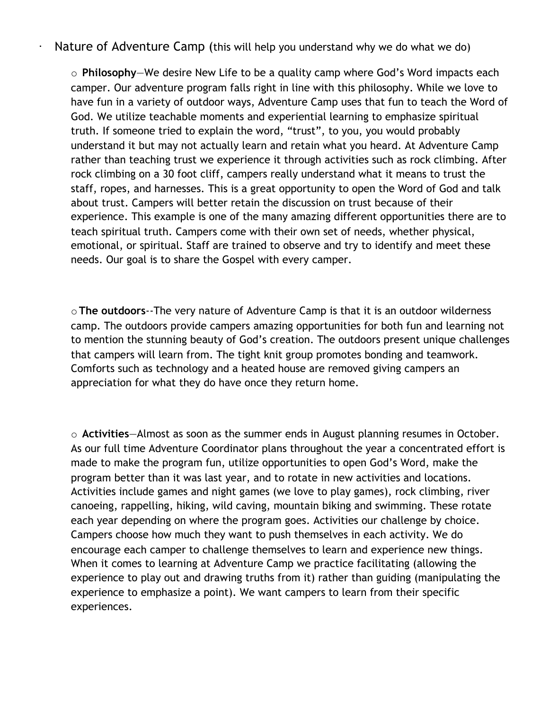· Nature of Adventure Camp (this will help you understand why we do what we do)

o **Philosophy**—We desire New Life to be a quality camp where God's Word impacts each camper. Our adventure program falls right in line with this philosophy. While we love to have fun in a variety of outdoor ways, Adventure Camp uses that fun to teach the Word of God. We utilize teachable moments and experiential learning to emphasize spiritual truth. If someone tried to explain the word, "trust", to you, you would probably understand it but may not actually learn and retain what you heard. At Adventure Camp rather than teaching trust we experience it through activities such as rock climbing. After rock climbing on a 30 foot cliff, campers really understand what it means to trust the staff, ropes, and harnesses. This is a great opportunity to open the Word of God and talk about trust. Campers will better retain the discussion on trust because of their experience. This example is one of the many amazing different opportunities there are to teach spiritual truth. Campers come with their own set of needs, whether physical, emotional, or spiritual. Staff are trained to observe and try to identify and meet these needs. Our goal is to share the Gospel with every camper.

o**The outdoors**--The very nature of Adventure Camp is that it is an outdoor wilderness camp. The outdoors provide campers amazing opportunities for both fun and learning not to mention the stunning beauty of God's creation. The outdoors present unique challenges that campers will learn from. The tight knit group promotes bonding and teamwork. Comforts such as technology and a heated house are removed giving campers an appreciation for what they do have once they return home.

o **Activities**—Almost as soon as the summer ends in August planning resumes in October. As our full time Adventure Coordinator plans throughout the year a concentrated effort is made to make the program fun, utilize opportunities to open God's Word, make the program better than it was last year, and to rotate in new activities and locations. Activities include games and night games (we love to play games), rock climbing, river canoeing, rappelling, hiking, wild caving, mountain biking and swimming. These rotate each year depending on where the program goes. Activities our challenge by choice. Campers choose how much they want to push themselves in each activity. We do encourage each camper to challenge themselves to learn and experience new things. When it comes to learning at Adventure Camp we practice facilitating (allowing the experience to play out and drawing truths from it) rather than guiding (manipulating the experience to emphasize a point). We want campers to learn from their specific experiences.